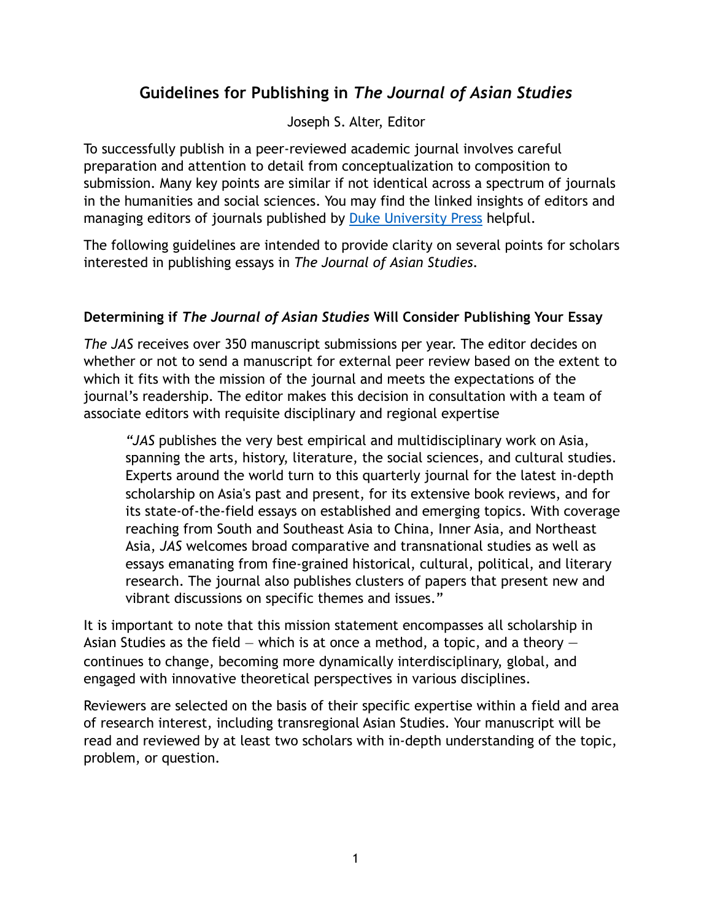# **Guidelines for Publishing in** *The Journal of Asian Studies*

Joseph S. Alter, Editor

To successfully publish in a peer-reviewed academic journal involves careful preparation and attention to detail from conceptualization to composition to submission. Many key points are similar if not identical across a spectrum of journals in the humanities and social sciences. You may find the linked insights of editors and managing editors of journals published by [Duke University Press](https://dukeupress.wordpress.com/2015/09/29/tips-from-managing-editors-on-how-to-get-your-academic-article-published/) helpful.

The following guidelines are intended to provide clarity on several points for scholars interested in publishing essays in *The Journal of Asian Studies*.

### **Determining if** *The Journal of Asian Studies* **Will Consider Publishing Your Essay**

*The JAS* receives over 350 manuscript submissions per year. The editor decides on whether or not to send a manuscript for external peer review based on the extent to which it fits with the mission of the journal and meets the expectations of the journal's readership. The editor makes this decision in consultation with a team of associate editors with requisite disciplinary and regional expertise

*"JAS* publishes the very best empirical and multidisciplinary work on Asia, spanning the arts, history, literature, the social sciences, and cultural studies. Experts around the world turn to this quarterly journal for the latest in-depth scholarship on Asia's past and present, for its extensive book reviews, and for its state-of-the-field essays on established and emerging topics. With coverage reaching from South and Southeast Asia to China, Inner Asia, and Northeast Asia, *JAS* welcomes broad comparative and transnational studies as well as essays emanating from fine-grained historical, cultural, political, and literary research. The journal also publishes clusters of papers that present new and vibrant discussions on specific themes and issues."

It is important to note that this mission statement encompasses all scholarship in Asian Studies as the field  $-$  which is at once a method, a topic, and a theory  $$ continues to change, becoming more dynamically interdisciplinary, global, and engaged with innovative theoretical perspectives in various disciplines.

Reviewers are selected on the basis of their specific expertise within a field and area of research interest, including transregional Asian Studies. Your manuscript will be read and reviewed by at least two scholars with in-depth understanding of the topic, problem, or question.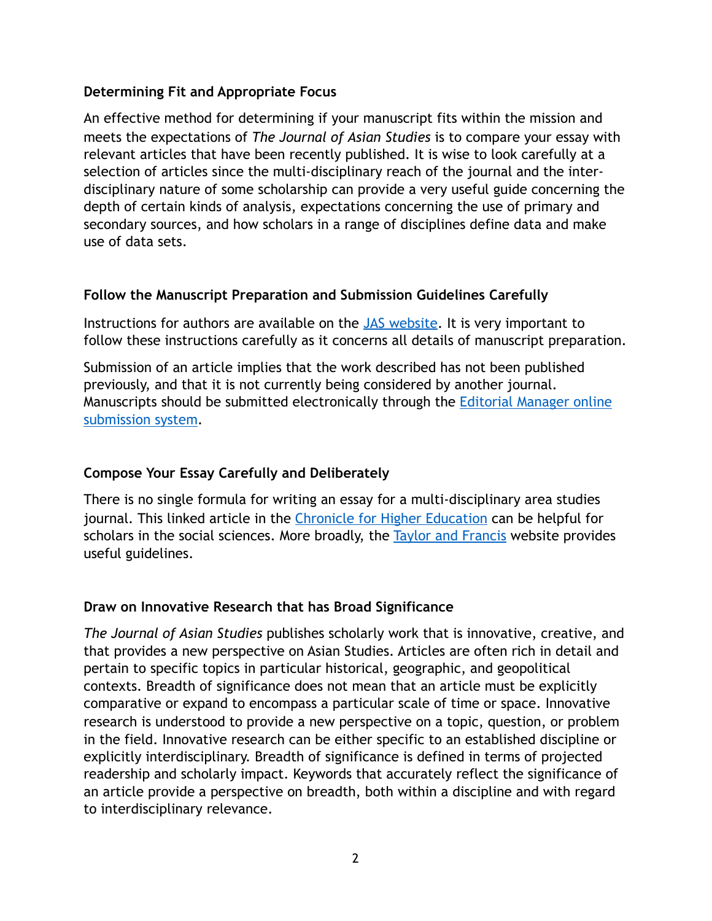#### **Determining Fit and Appropriate Focus**

An effective method for determining if your manuscript fits within the mission and meets the expectations of *The Journal of Asian Studies* is to compare your essay with relevant articles that have been recently published. It is wise to look carefully at a selection of articles since the multi-disciplinary reach of the journal and the interdisciplinary nature of some scholarship can provide a very useful guide concerning the depth of certain kinds of analysis, expectations concerning the use of primary and secondary sources, and how scholars in a range of disciplines define data and make use of data sets.

#### **Follow the Manuscript Preparation and Submission Guidelines Carefully**

Instructions for authors are available on the **JAS** website. It is very important to follow these instructions carefully as it concerns all details of manuscript preparation.

Submission of an article implies that the work described has not been published previously, and that it is not currently being considered by another journal. Manuscripts should be submitted electronically through the **Editorial Manager online** [submission system](https://www.editorialmanager.com/jas/).

#### **Compose Your Essay Carefully and Deliberately**

There is no single formula for writing an essay for a multi-disciplinary area studies journal. This linked article in the [Chronicle for Higher Education](https://www.insidehighered.com/advice/2017/05/09/how-write-effective-journal-article-and-get-it-published-essay) can be helpful for scholars in the social sciences. More broadly, the **Taylor and Francis** website provides useful guidelines.

#### **Draw on Innovative Research that has Broad Significance**

*The Journal of Asian Studies* publishes scholarly work that is innovative, creative, and that provides a new perspective on Asian Studies. Articles are often rich in detail and pertain to specific topics in particular historical, geographic, and geopolitical contexts. Breadth of significance does not mean that an article must be explicitly comparative or expand to encompass a particular scale of time or space. Innovative research is understood to provide a new perspective on a topic, question, or problem in the field. Innovative research can be either specific to an established discipline or explicitly interdisciplinary. Breadth of significance is defined in terms of projected readership and scholarly impact. Keywords that accurately reflect the significance of an article provide a perspective on breadth, both within a discipline and with regard to interdisciplinary relevance.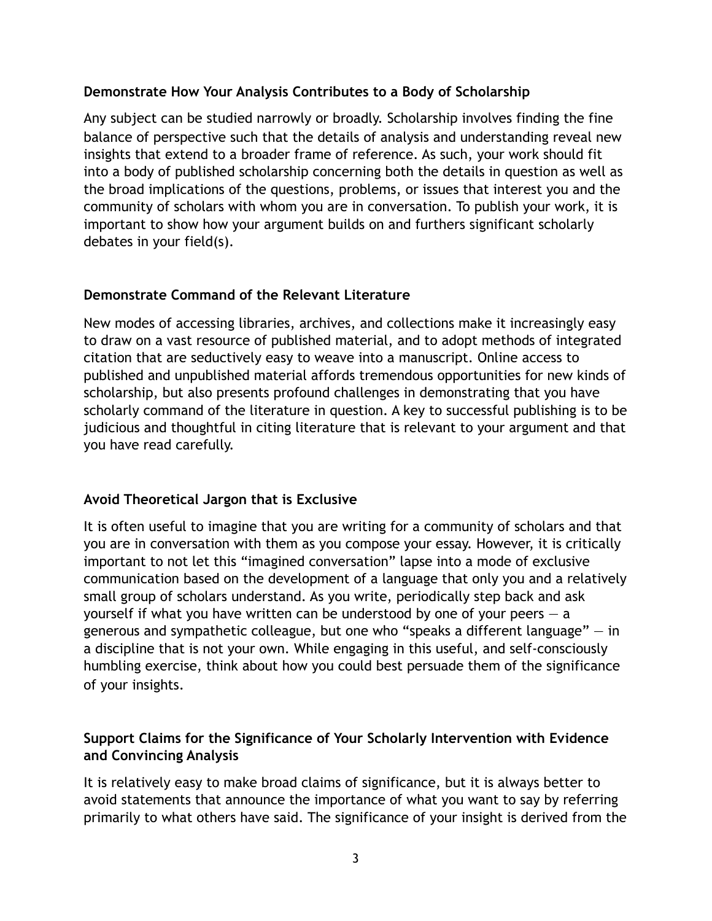#### **Demonstrate How Your Analysis Contributes to a Body of Scholarship**

Any subject can be studied narrowly or broadly. Scholarship involves finding the fine balance of perspective such that the details of analysis and understanding reveal new insights that extend to a broader frame of reference. As such, your work should fit into a body of published scholarship concerning both the details in question as well as the broad implications of the questions, problems, or issues that interest you and the community of scholars with whom you are in conversation. To publish your work, it is important to show how your argument builds on and furthers significant scholarly debates in your field(s).

#### **Demonstrate Command of the Relevant Literature**

New modes of accessing libraries, archives, and collections make it increasingly easy to draw on a vast resource of published material, and to adopt methods of integrated citation that are seductively easy to weave into a manuscript. Online access to published and unpublished material affords tremendous opportunities for new kinds of scholarship, but also presents profound challenges in demonstrating that you have scholarly command of the literature in question. A key to successful publishing is to be judicious and thoughtful in citing literature that is relevant to your argument and that you have read carefully.

#### **Avoid Theoretical Jargon that is Exclusive**

It is often useful to imagine that you are writing for a community of scholars and that you are in conversation with them as you compose your essay. However, it is critically important to not let this "imagined conversation" lapse into a mode of exclusive communication based on the development of a language that only you and a relatively small group of scholars understand. As you write, periodically step back and ask yourself if what you have written can be understood by one of your peers  $-$  a generous and sympathetic colleague, but one who "speaks a different language"  $-$  in a discipline that is not your own. While engaging in this useful, and self-consciously humbling exercise, think about how you could best persuade them of the significance of your insights.

#### **Support Claims for the Significance of Your Scholarly Intervention with Evidence and Convincing Analysis**

It is relatively easy to make broad claims of significance, but it is always better to avoid statements that announce the importance of what you want to say by referring primarily to what others have said. The significance of your insight is derived from the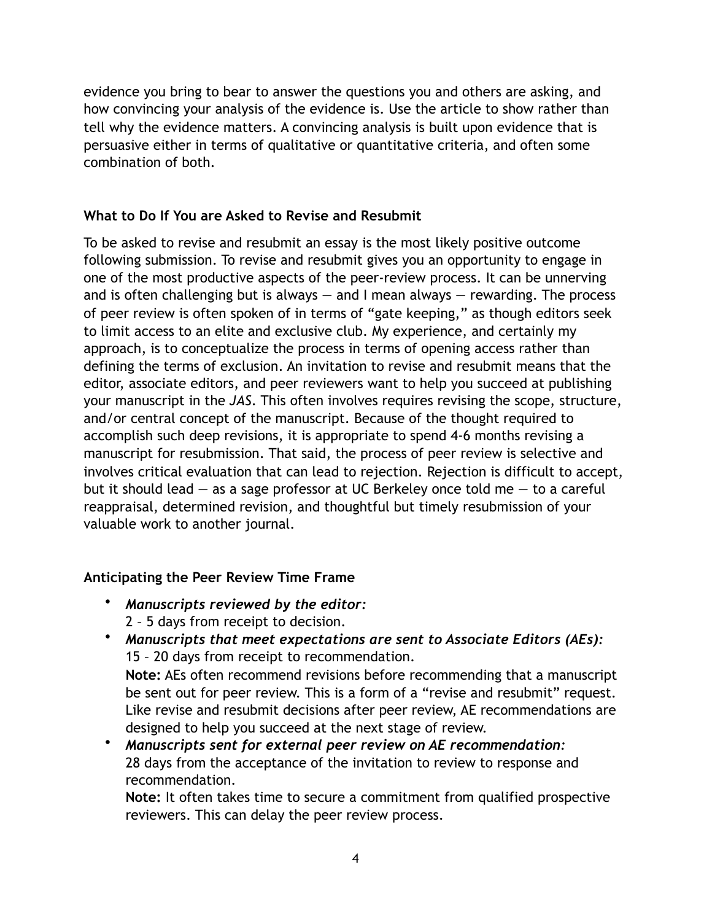evidence you bring to bear to answer the questions you and others are asking, and how convincing your analysis of the evidence is. Use the article to show rather than tell why the evidence matters. A convincing analysis is built upon evidence that is persuasive either in terms of qualitative or quantitative criteria, and often some combination of both.

## **What to Do If You are Asked to Revise and Resubmit**

To be asked to revise and resubmit an essay is the most likely positive outcome following submission. To revise and resubmit gives you an opportunity to engage in one of the most productive aspects of the peer-review process. It can be unnerving and is often challenging but is always  $-$  and I mean always  $-$  rewarding. The process of peer review is often spoken of in terms of "gate keeping," as though editors seek to limit access to an elite and exclusive club. My experience, and certainly my approach, is to conceptualize the process in terms of opening access rather than defining the terms of exclusion. An invitation to revise and resubmit means that the editor, associate editors, and peer reviewers want to help you succeed at publishing your manuscript in the *JAS*. This often involves requires revising the scope, structure, and/or central concept of the manuscript. Because of the thought required to accomplish such deep revisions, it is appropriate to spend 4-6 months revising a manuscript for resubmission. That said, the process of peer review is selective and involves critical evaluation that can lead to rejection. Rejection is difficult to accept, but it should lead  $-$  as a sage professor at UC Berkeley once told me  $-$  to a careful reappraisal, determined revision, and thoughtful but timely resubmission of your valuable work to another journal.

## **Anticipating the Peer Review Time Frame**

- *Manuscripts reviewed by the editor:*  2 – 5 days from receipt to decision.
- *Manuscripts that meet expectations are sent to Associate Editors (AEs):*  15 – 20 days from receipt to recommendation. **Note:** AEs often recommend revisions before recommending that a manuscript be sent out for peer review. This is a form of a "revise and resubmit" request. Like revise and resubmit decisions after peer review, AE recommendations are designed to help you succeed at the next stage of review.
- *Manuscripts sent for external peer review on AE recommendation:*  28 days from the acceptance of the invitation to review to response and recommendation.

**Note:** It often takes time to secure a commitment from qualified prospective reviewers. This can delay the peer review process.